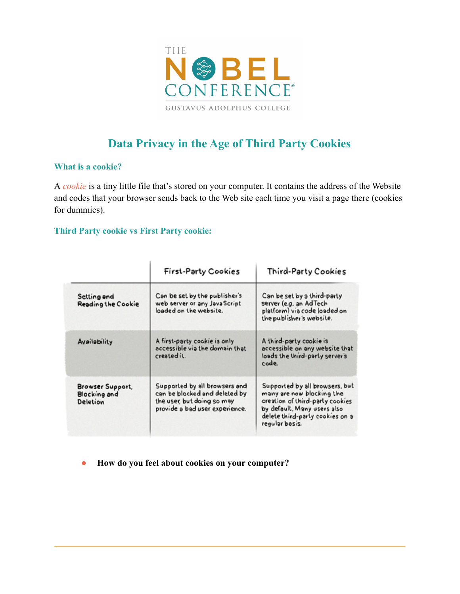

# **Data Privacy in the Age of Third Party Cookies**

### **What is a cookie?**

A *cookie* is a tiny little file that's stored on your computer. It contains the address of the Website and codes that your browser sends back to the Web site each time you visit a page there (cookies for dummies).

### **Third Party cookie vs First Party cookie:**

|                                                            | <b>First-Party Cookies</b>                                                                                                     | Third-Party Cookies                                                                                                                                                                |
|------------------------------------------------------------|--------------------------------------------------------------------------------------------------------------------------------|------------------------------------------------------------------------------------------------------------------------------------------------------------------------------------|
| Setting and<br><b>Reading the Cookie</b>                   | Can be set by the publisher's<br>web server or any JavaScript<br>loaded on the website.                                        | Can be set by a third-party<br>server (e.g. an AdTech<br>platform) via code loaded on<br>the publisher's website.                                                                  |
| Availability                                               | A first-party cookie is only<br>accessible via the domain that<br>created it.                                                  | A third-party cookie is<br>accessible on any website that<br>loads the third-party server's<br>code.                                                                               |
| <b>Browser Support,</b><br><b>Blocking and</b><br>Deletion | Supported by all browsers and<br>can be blocked and deleted by<br>the user, but doing so may<br>provide a bad user experience. | Supported by all browsers, but<br>many are now blocking the<br>creation of third-party cookies<br>by default, Many users also<br>delete third-party cookies on a<br>regular basis. |

● **How do you feel about cookies on your computer?**